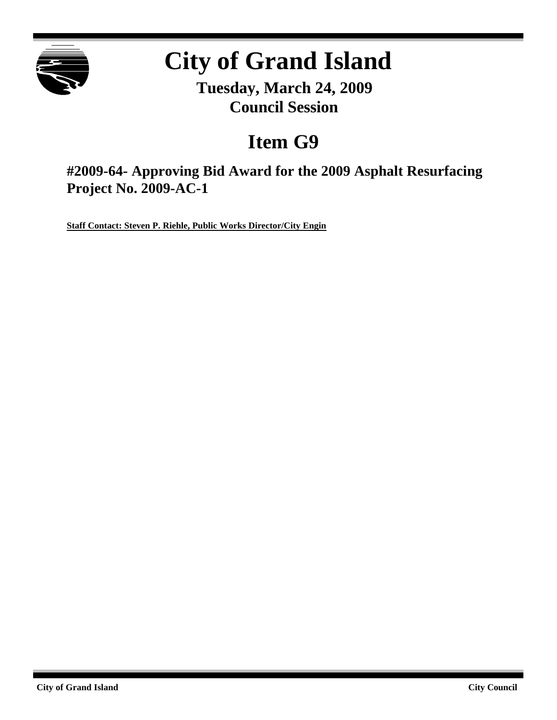

# **City of Grand Island**

**Tuesday, March 24, 2009 Council Session**

# **Item G9**

**#2009-64- Approving Bid Award for the 2009 Asphalt Resurfacing Project No. 2009-AC-1**

**Staff Contact: Steven P. Riehle, Public Works Director/City Engin**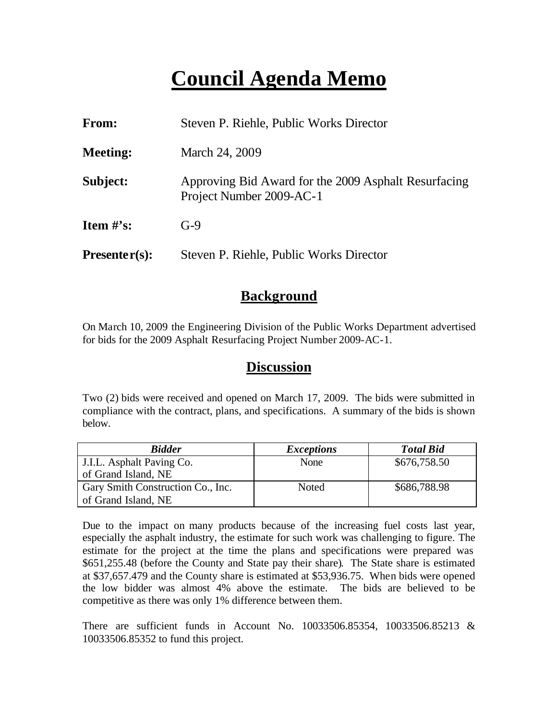# **Council Agenda Memo**

| <b>From:</b>    | Steven P. Riehle, Public Works Director                                          |
|-----------------|----------------------------------------------------------------------------------|
| <b>Meeting:</b> | March 24, 2009                                                                   |
| Subject:        | Approving Bid Award for the 2009 Asphalt Resurfacing<br>Project Number 2009-AC-1 |
| Item $\#$ 's:   | $G-9$                                                                            |
| $Presenter(s):$ | Steven P. Riehle, Public Works Director                                          |

## **Background**

On March 10, 2009 the Engineering Division of the Public Works Department advertised for bids for the 2009 Asphalt Resurfacing Project Number 2009-AC-1.

## **Discussion**

Two (2) bids were received and opened on March 17, 2009. The bids were submitted in compliance with the contract, plans, and specifications. A summary of the bids is shown below.

| <b>Bidder</b>                     | <i>Exceptions</i> | <b>Total Bid</b> |
|-----------------------------------|-------------------|------------------|
| J.I.L. Asphalt Paving Co.         | None              | \$676,758.50     |
| of Grand Island, NE               |                   |                  |
| Gary Smith Construction Co., Inc. | Noted             | \$686,788.98     |
| of Grand Island, NE               |                   |                  |

Due to the impact on many products because of the increasing fuel costs last year, especially the asphalt industry, the estimate for such work was challenging to figure. The estimate for the project at the time the plans and specifications were prepared was \$651,255.48 (before the County and State pay their share). The State share is estimated at \$37,657.479 and the County share is estimated at \$53,936.75. When bids were opened the low bidder was almost 4% above the estimate. The bids are believed to be competitive as there was only 1% difference between them.

There are sufficient funds in Account No. 10033506.85354, 10033506.85213 & 10033506.85352 to fund this project.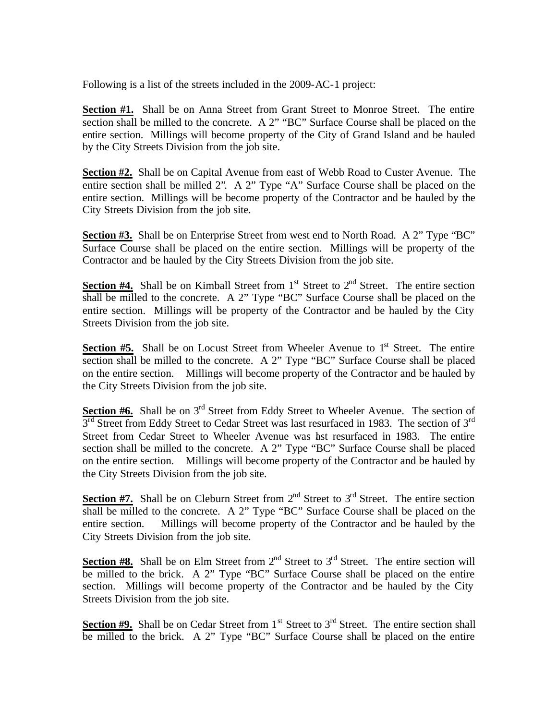Following is a list of the streets included in the 2009-AC-1 project:

**Section #1.** Shall be on Anna Street from Grant Street to Monroe Street. The entire section shall be milled to the concrete. A 2" "BC" Surface Course shall be placed on the entire section. Millings will become property of the City of Grand Island and be hauled by the City Streets Division from the job site.

**Section #2.** Shall be on Capital Avenue from east of Webb Road to Custer Avenue. The entire section shall be milled 2". A 2" Type "A" Surface Course shall be placed on the entire section. Millings will be become property of the Contractor and be hauled by the City Streets Division from the job site.

**Section #3.** Shall be on Enterprise Street from west end to North Road. A 2" Type "BC" Surface Course shall be placed on the entire section. Millings will be property of the Contractor and be hauled by the City Streets Division from the job site.

**Section #4.** Shall be on Kimball Street from  $1<sup>st</sup>$  Street to  $2<sup>nd</sup>$  Street. The entire section shall be milled to the concrete. A 2" Type "BC" Surface Course shall be placed on the entire section. Millings will be property of the Contractor and be hauled by the City Streets Division from the job site.

**Section**  $#5$ **.** Shall be on Locust Street from Wheeler Avenue to  $1<sup>st</sup>$  Street. The entire section shall be milled to the concrete. A 2" Type "BC" Surface Course shall be placed on the entire section. Millings will become property of the Contractor and be hauled by the City Streets Division from the job site.

**Section #6.** Shall be on 3<sup>rd</sup> Street from Eddy Street to Wheeler Avenue. The section of 3<sup>rd</sup> Street from Eddy Street to Cedar Street was last resurfaced in 1983. The section of 3<sup>rd</sup> Street from Cedar Street to Wheeler Avenue was last resurfaced in 1983. The entire section shall be milled to the concrete. A 2" Type "BC" Surface Course shall be placed on the entire section. Millings will become property of the Contractor and be hauled by the City Streets Division from the job site.

**Section #7.** Shall be on Cleburn Street from  $2<sup>nd</sup>$  Street to  $3<sup>rd</sup>$  Street. The entire section shall be milled to the concrete. A 2" Type "BC" Surface Course shall be placed on the entire section. Millings will become property of the Contractor and be hauled by the City Streets Division from the job site.

**Section #8.** Shall be on Elm Street from  $2<sup>nd</sup>$  Street to  $3<sup>rd</sup>$  Street. The entire section will be milled to the brick. A 2" Type "BC" Surface Course shall be placed on the entire section. Millings will become property of the Contractor and be hauled by the City Streets Division from the job site.

Section #9. Shall be on Cedar Street from 1<sup>st</sup> Street to 3<sup>rd</sup> Street. The entire section shall be milled to the brick. A 2" Type "BC" Surface Course shall be placed on the entire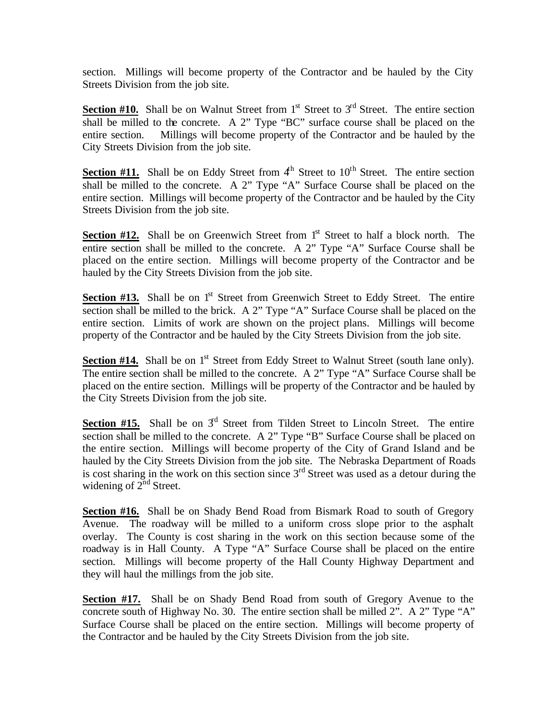section. Millings will become property of the Contractor and be hauled by the City Streets Division from the job site.

**Section #10.** Shall be on Walnut Street from  $1<sup>st</sup>$  Street to  $3<sup>rd</sup>$  Street. The entire section shall be milled to the concrete. A 2" Type "BC" surface course shall be placed on the entire section. Millings will become property of the Contractor and be hauled by the City Streets Division from the job site.

Section #11. Shall be on Eddy Street from 4<sup>th</sup> Street to 10<sup>th</sup> Street. The entire section shall be milled to the concrete. A 2" Type "A" Surface Course shall be placed on the entire section. Millings will become property of the Contractor and be hauled by the City Streets Division from the job site.

**Section #12.** Shall be on Greenwich Street from 1<sup>st</sup> Street to half a block north. The entire section shall be milled to the concrete. A 2" Type "A" Surface Course shall be placed on the entire section. Millings will become property of the Contractor and be hauled by the City Streets Division from the job site.

**Section #13.** Shall be on 1<sup>st</sup> Street from Greenwich Street to Eddy Street. The entire section shall be milled to the brick. A 2" Type "A" Surface Course shall be placed on the entire section. Limits of work are shown on the project plans. Millings will become property of the Contractor and be hauled by the City Streets Division from the job site.

**Section #14.** Shall be on 1<sup>st</sup> Street from Eddy Street to Walnut Street (south lane only). The entire section shall be milled to the concrete. A 2" Type "A" Surface Course shall be placed on the entire section. Millings will be property of the Contractor and be hauled by the City Streets Division from the job site.

**Section #15.** Shall be on  $3<sup>d</sup>$  Street from Tilden Street to Lincoln Street. The entire section shall be milled to the concrete. A 2" Type "B" Surface Course shall be placed on the entire section. Millings will become property of the City of Grand Island and be hauled by the City Streets Division from the job site. The Nebraska Department of Roads is cost sharing in the work on this section since  $3<sup>rd</sup>$  Street was used as a detour during the widening of  $2^{nd}$  Street.

**Section #16.** Shall be on Shady Bend Road from Bismark Road to south of Gregory Avenue. The roadway will be milled to a uniform cross slope prior to the asphalt overlay. The County is cost sharing in the work on this section because some of the roadway is in Hall County. A Type "A" Surface Course shall be placed on the entire section. Millings will become property of the Hall County Highway Department and they will haul the millings from the job site.

**Section #17.** Shall be on Shady Bend Road from south of Gregory Avenue to the concrete south of Highway No. 30. The entire section shall be milled 2". A 2" Type "A" Surface Course shall be placed on the entire section. Millings will become property of the Contractor and be hauled by the City Streets Division from the job site.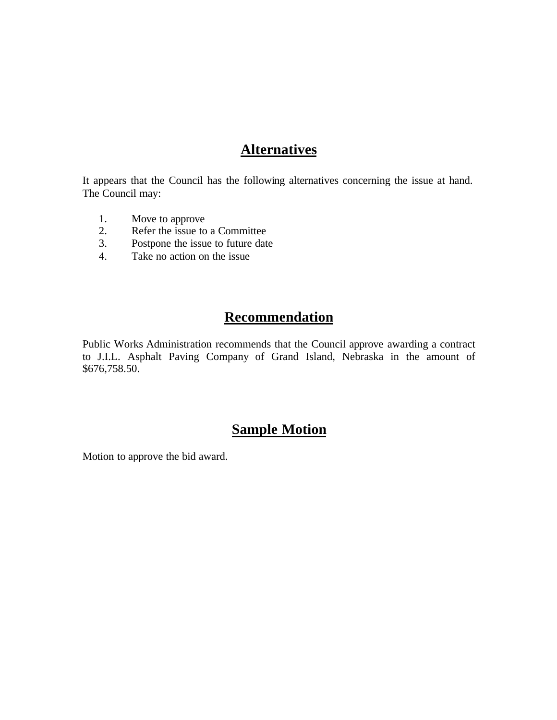## **Alternatives**

It appears that the Council has the following alternatives concerning the issue at hand. The Council may:

- 1. Move to approve<br>2. Refer the issue to
- Refer the issue to a Committee
- 3. Postpone the issue to future date
- 4. Take no action on the issue

# **Recommendation**

Public Works Administration recommends that the Council approve awarding a contract to J.I.L. Asphalt Paving Company of Grand Island, Nebraska in the amount of \$676,758.50.

# **Sample Motion**

Motion to approve the bid award.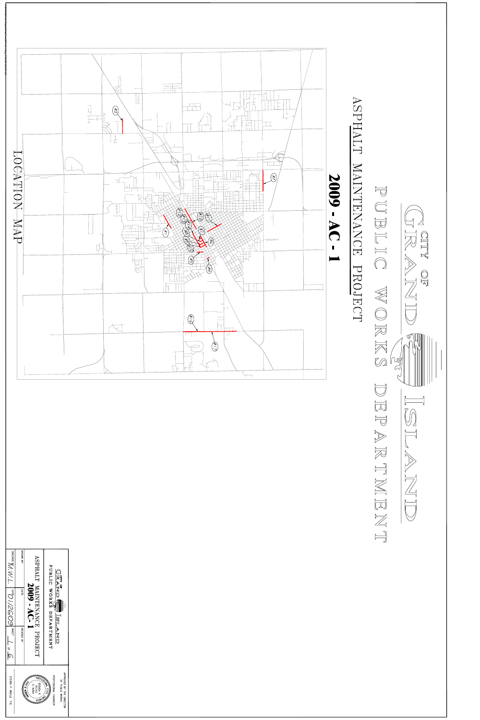







APPROVED BY THE DIRECTOR<br>APPROVED BY THE DIRECTOR

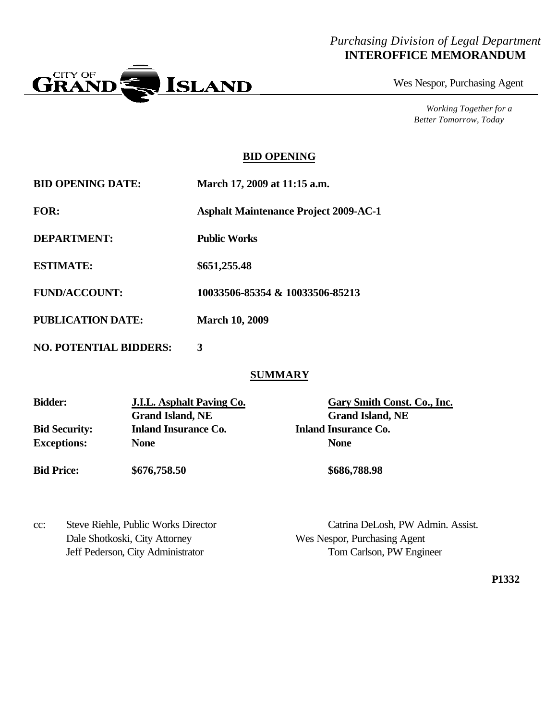### *Purchasing Division of Legal Department* **INTEROFFICE MEMORANDUM**



Wes Nespor, Purchasing Agent

*Working Together for a Better Tomorrow, Today*

#### **BID OPENING**

| <b>BID OPENING DATE:</b> | March 17, 2009 at 11:15 a.m.                 |
|--------------------------|----------------------------------------------|
| <b>FOR:</b>              | <b>Asphalt Maintenance Project 2009-AC-1</b> |
| DEPARTMENT:              | <b>Public Works</b>                          |
| <b>ESTIMATE:</b>         | \$651,255.48                                 |
| <b>FUND/ACCOUNT:</b>     | 10033506-85354 & 10033506-85213              |
| <b>PUBLICATION DATE:</b> | <b>March 10, 2009</b>                        |

**NO. POTENTIAL BIDDERS: 3**

#### **SUMMARY**

| <b>Bidder:</b>       | <b>J.I.L.</b> Asphalt Paving Co. | Gary Smith Const. Co., Inc. |  |  |
|----------------------|----------------------------------|-----------------------------|--|--|
|                      | <b>Grand Island, NE</b>          | <b>Grand Island, NE</b>     |  |  |
| <b>Bid Security:</b> | <b>Inland Insurance Co.</b>      | <b>Inland Insurance Co.</b> |  |  |
| <b>Exceptions:</b>   | <b>None</b>                      | <b>None</b>                 |  |  |
| <b>Bid Price:</b>    | \$676,758.50                     | \$686,788.98                |  |  |

cc: Steve Riehle, Public Works Director Catrina DeLosh, PW Admin. Assist. Dale Shotkoski, City Attorney Wes Nespor, Purchasing Agent

Jeff Pederson, City Administrator Tom Carlson, PW Engineer

**P1332**